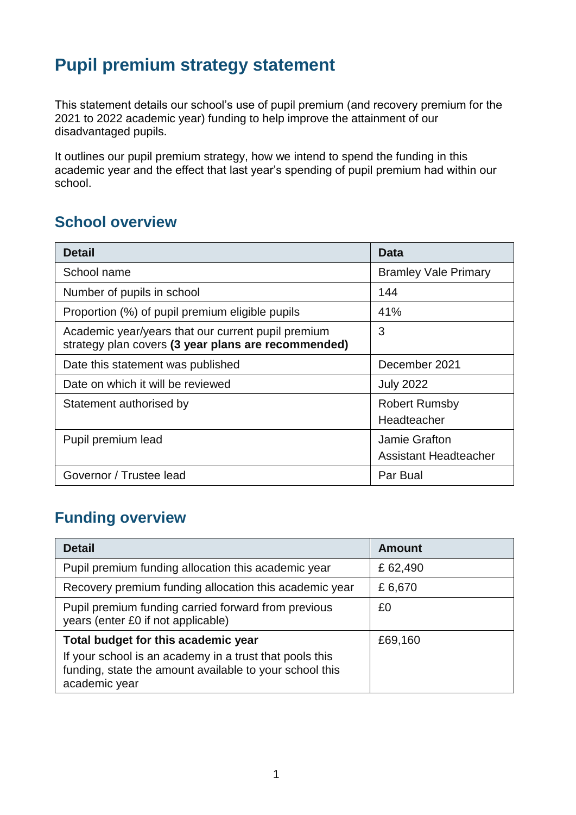## **Pupil premium strategy statement**

This statement details our school's use of pupil premium (and recovery premium for the 2021 to 2022 academic year) funding to help improve the attainment of our disadvantaged pupils.

It outlines our pupil premium strategy, how we intend to spend the funding in this academic year and the effect that last year's spending of pupil premium had within our school.

#### **School overview**

| <b>Detail</b>                                                                                             | Data                                          |
|-----------------------------------------------------------------------------------------------------------|-----------------------------------------------|
| School name                                                                                               | <b>Bramley Vale Primary</b>                   |
| Number of pupils in school                                                                                | 144                                           |
| Proportion (%) of pupil premium eligible pupils                                                           | 41%                                           |
| Academic year/years that our current pupil premium<br>strategy plan covers (3 year plans are recommended) | 3                                             |
| Date this statement was published                                                                         | December 2021                                 |
| Date on which it will be reviewed                                                                         | <b>July 2022</b>                              |
| Statement authorised by                                                                                   | <b>Robert Rumsby</b><br>Headteacher           |
| Pupil premium lead                                                                                        | Jamie Grafton<br><b>Assistant Headteacher</b> |
| Governor / Trustee lead                                                                                   | Par Bual                                      |

#### **Funding overview**

| <b>Detail</b>                                                                                                                                                              | <b>Amount</b> |
|----------------------------------------------------------------------------------------------------------------------------------------------------------------------------|---------------|
| Pupil premium funding allocation this academic year                                                                                                                        | £62,490       |
| Recovery premium funding allocation this academic year                                                                                                                     | £6,670        |
| Pupil premium funding carried forward from previous<br>years (enter £0 if not applicable)                                                                                  | £0            |
| Total budget for this academic year<br>If your school is an academy in a trust that pools this<br>funding, state the amount available to your school this<br>academic year | £69,160       |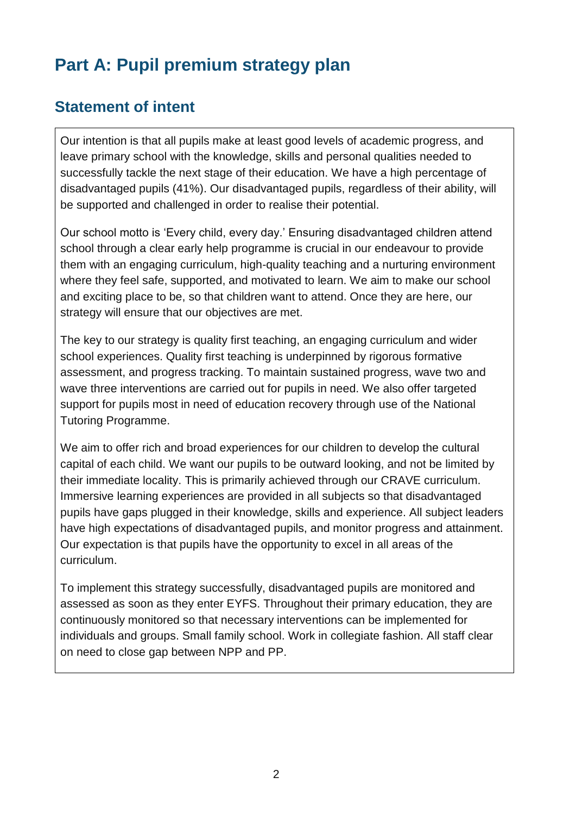# **Part A: Pupil premium strategy plan**

#### **Statement of intent**

Our intention is that all pupils make at least good levels of academic progress, and leave primary school with the knowledge, skills and personal qualities needed to successfully tackle the next stage of their education. We have a high percentage of disadvantaged pupils (41%). Our disadvantaged pupils, regardless of their ability, will be supported and challenged in order to realise their potential.

Our school motto is 'Every child, every day.' Ensuring disadvantaged children attend school through a clear early help programme is crucial in our endeavour to provide them with an engaging curriculum, high-quality teaching and a nurturing environment where they feel safe, supported, and motivated to learn. We aim to make our school and exciting place to be, so that children want to attend. Once they are here, our strategy will ensure that our objectives are met.

The key to our strategy is quality first teaching, an engaging curriculum and wider school experiences. Quality first teaching is underpinned by rigorous formative assessment, and progress tracking. To maintain sustained progress, wave two and wave three interventions are carried out for pupils in need. We also offer targeted support for pupils most in need of education recovery through use of the National Tutoring Programme.

We aim to offer rich and broad experiences for our children to develop the cultural capital of each child. We want our pupils to be outward looking, and not be limited by their immediate locality. This is primarily achieved through our CRAVE curriculum. Immersive learning experiences are provided in all subjects so that disadvantaged pupils have gaps plugged in their knowledge, skills and experience. All subject leaders have high expectations of disadvantaged pupils, and monitor progress and attainment. Our expectation is that pupils have the opportunity to excel in all areas of the curriculum.

To implement this strategy successfully, disadvantaged pupils are monitored and assessed as soon as they enter EYFS. Throughout their primary education, they are continuously monitored so that necessary interventions can be implemented for individuals and groups. Small family school. Work in collegiate fashion. All staff clear on need to close gap between NPP and PP.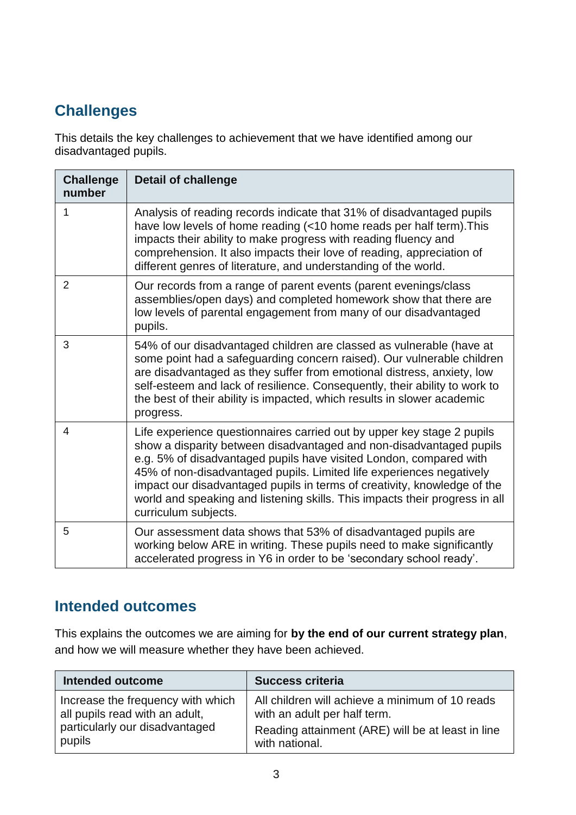### **Challenges**

This details the key challenges to achievement that we have identified among our disadvantaged pupils.

| <b>Challenge</b><br>number | <b>Detail of challenge</b>                                                                                                                                                                                                                                                                                                                                                                                                                                                     |
|----------------------------|--------------------------------------------------------------------------------------------------------------------------------------------------------------------------------------------------------------------------------------------------------------------------------------------------------------------------------------------------------------------------------------------------------------------------------------------------------------------------------|
| 1                          | Analysis of reading records indicate that 31% of disadvantaged pupils<br>have low levels of home reading (<10 home reads per half term). This<br>impacts their ability to make progress with reading fluency and<br>comprehension. It also impacts their love of reading, appreciation of<br>different genres of literature, and understanding of the world.                                                                                                                   |
| $\overline{2}$             | Our records from a range of parent events (parent evenings/class<br>assemblies/open days) and completed homework show that there are<br>low levels of parental engagement from many of our disadvantaged<br>pupils.                                                                                                                                                                                                                                                            |
| 3                          | 54% of our disadvantaged children are classed as vulnerable (have at<br>some point had a safeguarding concern raised). Our vulnerable children<br>are disadvantaged as they suffer from emotional distress, anxiety, low<br>self-esteem and lack of resilience. Consequently, their ability to work to<br>the best of their ability is impacted, which results in slower academic<br>progress.                                                                                 |
| 4                          | Life experience questionnaires carried out by upper key stage 2 pupils<br>show a disparity between disadvantaged and non-disadvantaged pupils<br>e.g. 5% of disadvantaged pupils have visited London, compared with<br>45% of non-disadvantaged pupils. Limited life experiences negatively<br>impact our disadvantaged pupils in terms of creativity, knowledge of the<br>world and speaking and listening skills. This impacts their progress in all<br>curriculum subjects. |
| 5                          | Our assessment data shows that 53% of disadvantaged pupils are<br>working below ARE in writing. These pupils need to make significantly<br>accelerated progress in Y6 in order to be 'secondary school ready'.                                                                                                                                                                                                                                                                 |

#### **Intended outcomes**

This explains the outcomes we are aiming for **by the end of our current strategy plan**, and how we will measure whether they have been achieved.

| <b>Intended outcome</b>           | <b>Success criteria</b>                           |
|-----------------------------------|---------------------------------------------------|
| Increase the frequency with which | All children will achieve a minimum of 10 reads   |
| all pupils read with an adult,    | with an adult per half term.                      |
| particularly our disadvantaged    | Reading attainment (ARE) will be at least in line |
| pupils                            | with national.                                    |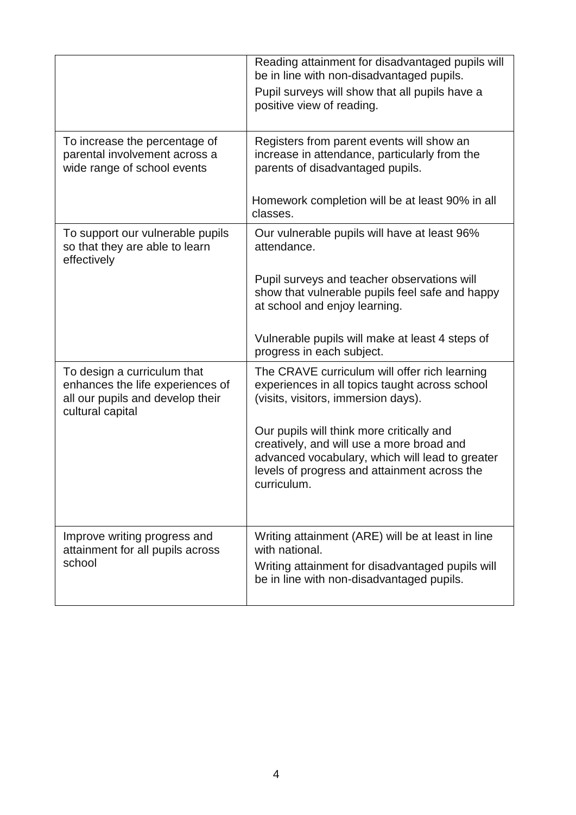|                                                                                                                         | Reading attainment for disadvantaged pupils will<br>be in line with non-disadvantaged pupils.<br>Pupil surveys will show that all pupils have a<br>positive view of reading.                             |
|-------------------------------------------------------------------------------------------------------------------------|----------------------------------------------------------------------------------------------------------------------------------------------------------------------------------------------------------|
| To increase the percentage of<br>parental involvement across a<br>wide range of school events                           | Registers from parent events will show an<br>increase in attendance, particularly from the<br>parents of disadvantaged pupils.                                                                           |
|                                                                                                                         | Homework completion will be at least 90% in all<br>classes.                                                                                                                                              |
| To support our vulnerable pupils<br>so that they are able to learn<br>effectively                                       | Our vulnerable pupils will have at least 96%<br>attendance.                                                                                                                                              |
|                                                                                                                         | Pupil surveys and teacher observations will<br>show that vulnerable pupils feel safe and happy<br>at school and enjoy learning.                                                                          |
|                                                                                                                         | Vulnerable pupils will make at least 4 steps of<br>progress in each subject.                                                                                                                             |
| To design a curriculum that<br>enhances the life experiences of<br>all our pupils and develop their<br>cultural capital | The CRAVE curriculum will offer rich learning<br>experiences in all topics taught across school<br>(visits, visitors, immersion days).                                                                   |
|                                                                                                                         | Our pupils will think more critically and<br>creatively, and will use a more broad and<br>advanced vocabulary, which will lead to greater<br>levels of progress and attainment across the<br>curriculum. |
| Improve writing progress and<br>attainment for all pupils across<br>school                                              | Writing attainment (ARE) will be at least in line<br>with national.<br>Writing attainment for disadvantaged pupils will<br>be in line with non-disadvantaged pupils.                                     |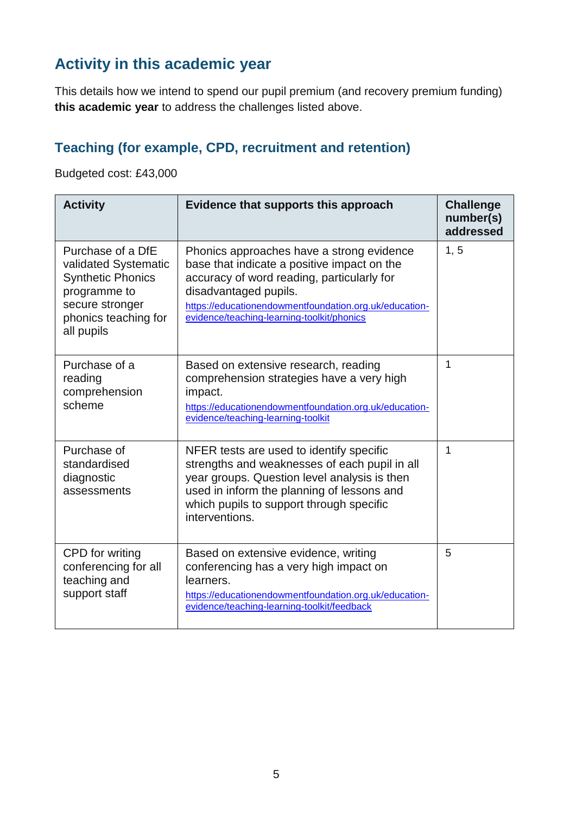#### **Activity in this academic year**

This details how we intend to spend our pupil premium (and recovery premium funding) **this academic year** to address the challenges listed above.

#### **Teaching (for example, CPD, recruitment and retention)**

Budgeted cost: £43,000

| <b>Activity</b>                                                                                                                                | Evidence that supports this approach                                                                                                                                                                                                                                    | <b>Challenge</b><br>number(s)<br>addressed |
|------------------------------------------------------------------------------------------------------------------------------------------------|-------------------------------------------------------------------------------------------------------------------------------------------------------------------------------------------------------------------------------------------------------------------------|--------------------------------------------|
| Purchase of a DfE<br>validated Systematic<br><b>Synthetic Phonics</b><br>programme to<br>secure stronger<br>phonics teaching for<br>all pupils | Phonics approaches have a strong evidence<br>base that indicate a positive impact on the<br>accuracy of word reading, particularly for<br>disadvantaged pupils.<br>https://educationendowmentfoundation.org.uk/education-<br>evidence/teaching-learning-toolkit/phonics | 1, 5                                       |
| Purchase of a<br>reading<br>comprehension<br>scheme                                                                                            | Based on extensive research, reading<br>comprehension strategies have a very high<br>impact.<br>https://educationendowmentfoundation.org.uk/education-<br>evidence/teaching-learning-toolkit                                                                            | 1                                          |
| Purchase of<br>standardised<br>diagnostic<br>assessments                                                                                       | NFER tests are used to identify specific<br>strengths and weaknesses of each pupil in all<br>year groups. Question level analysis is then<br>used in inform the planning of lessons and<br>which pupils to support through specific<br>interventions.                   | 1                                          |
| CPD for writing<br>conferencing for all<br>teaching and<br>support staff                                                                       | Based on extensive evidence, writing<br>conferencing has a very high impact on<br>learners.<br>https://educationendowmentfoundation.org.uk/education-<br>evidence/teaching-learning-toolkit/feedback                                                                    | 5                                          |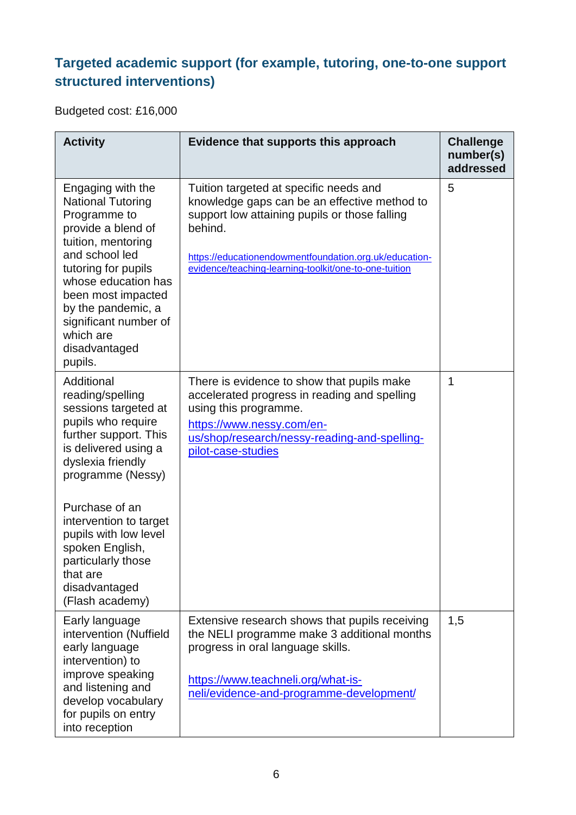#### **Targeted academic support (for example, tutoring, one-to-one support structured interventions)**

Budgeted cost: £16,000

| <b>Activity</b>                                                                                                                                                                                                                                                                         | Evidence that supports this approach                                                                                                                                                                                                                                  | <b>Challenge</b><br>number(s)<br>addressed |
|-----------------------------------------------------------------------------------------------------------------------------------------------------------------------------------------------------------------------------------------------------------------------------------------|-----------------------------------------------------------------------------------------------------------------------------------------------------------------------------------------------------------------------------------------------------------------------|--------------------------------------------|
| Engaging with the<br><b>National Tutoring</b><br>Programme to<br>provide a blend of<br>tuition, mentoring<br>and school led<br>tutoring for pupils<br>whose education has<br>been most impacted<br>by the pandemic, a<br>significant number of<br>which are<br>disadvantaged<br>pupils. | Tuition targeted at specific needs and<br>knowledge gaps can be an effective method to<br>support low attaining pupils or those falling<br>behind.<br>https://educationendowmentfoundation.org.uk/education-<br>evidence/teaching-learning-toolkit/one-to-one-tuition | 5                                          |
| Additional<br>reading/spelling<br>sessions targeted at<br>pupils who require<br>further support. This<br>is delivered using a<br>dyslexia friendly<br>programme (Nessy)                                                                                                                 | There is evidence to show that pupils make<br>accelerated progress in reading and spelling<br>using this programme.<br>https://www.nessy.com/en-<br>us/shop/research/nessy-reading-and-spelling-<br>pilot-case-studies                                                | 1                                          |
| Purchase of an<br>intervention to target<br>pupils with low level<br>spoken English,<br>particularly those<br>that are<br>disadvantaged<br>(Flash academy)                                                                                                                              |                                                                                                                                                                                                                                                                       |                                            |
| Early language<br>intervention (Nuffield<br>early language<br>intervention) to<br>improve speaking<br>and listening and<br>develop vocabulary<br>for pupils on entry<br>into reception                                                                                                  | Extensive research shows that pupils receiving<br>the NELI programme make 3 additional months<br>progress in oral language skills.<br>https://www.teachneli.org/what-is-<br>neli/evidence-and-programme-development/                                                  | 1,5                                        |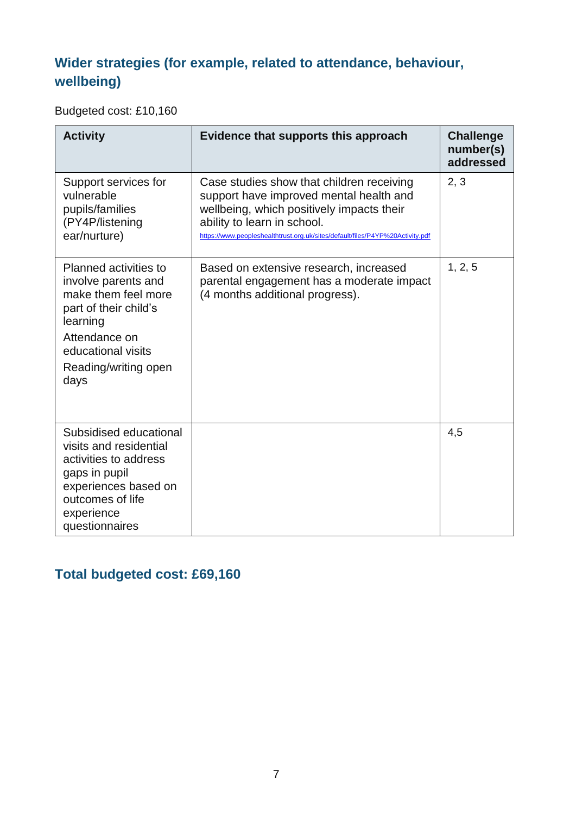#### **Wider strategies (for example, related to attendance, behaviour, wellbeing)**

Budgeted cost: £10,160

| <b>Activity</b>                                                                                                                                                                 | Evidence that supports this approach                                                                                                                                                                                                              | <b>Challenge</b><br>number(s)<br>addressed |
|---------------------------------------------------------------------------------------------------------------------------------------------------------------------------------|---------------------------------------------------------------------------------------------------------------------------------------------------------------------------------------------------------------------------------------------------|--------------------------------------------|
| Support services for<br>vulnerable<br>pupils/families<br>(PY4P/listening<br>ear/nurture)                                                                                        | Case studies show that children receiving<br>support have improved mental health and<br>wellbeing, which positively impacts their<br>ability to learn in school.<br>https://www.peopleshealthtrust.org.uk/sites/default/files/P4YP%20Activity.pdf | 2, 3                                       |
| Planned activities to<br>involve parents and<br>make them feel more<br>part of their child's<br>learning<br>Attendance on<br>educational visits<br>Reading/writing open<br>days | Based on extensive research, increased<br>parental engagement has a moderate impact<br>(4 months additional progress).                                                                                                                            | 1, 2, 5                                    |
| Subsidised educational<br>visits and residential<br>activities to address<br>gaps in pupil<br>experiences based on<br>outcomes of life<br>experience<br>questionnaires          |                                                                                                                                                                                                                                                   | 4,5                                        |

#### **Total budgeted cost: £69,160**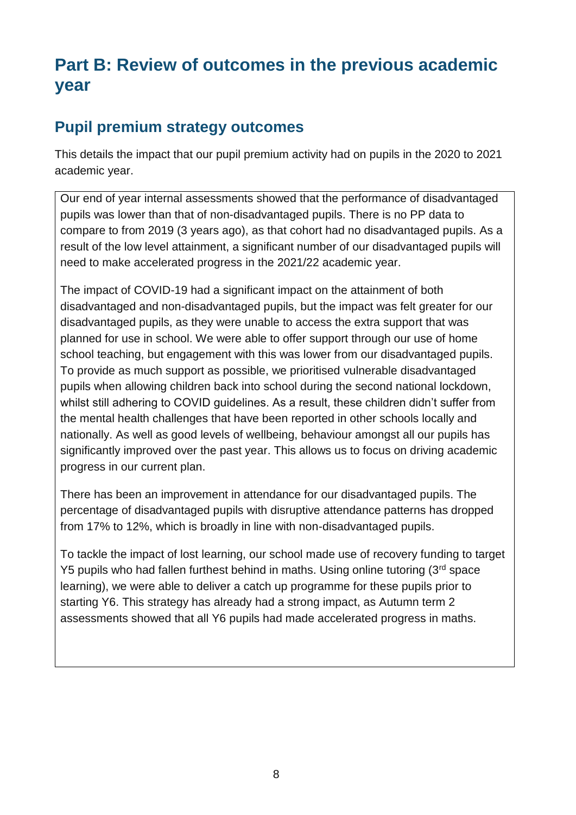## **Part B: Review of outcomes in the previous academic year**

#### **Pupil premium strategy outcomes**

This details the impact that our pupil premium activity had on pupils in the 2020 to 2021 academic year.

Our end of year internal assessments showed that the performance of disadvantaged pupils was lower than that of non-disadvantaged pupils. There is no PP data to compare to from 2019 (3 years ago), as that cohort had no disadvantaged pupils. As a result of the low level attainment, a significant number of our disadvantaged pupils will need to make accelerated progress in the 2021/22 academic year.

The impact of COVID-19 had a significant impact on the attainment of both disadvantaged and non-disadvantaged pupils, but the impact was felt greater for our disadvantaged pupils, as they were unable to access the extra support that was planned for use in school. We were able to offer support through our use of home school teaching, but engagement with this was lower from our disadvantaged pupils. To provide as much support as possible, we prioritised vulnerable disadvantaged pupils when allowing children back into school during the second national lockdown, whilst still adhering to COVID guidelines. As a result, these children didn't suffer from the mental health challenges that have been reported in other schools locally and nationally. As well as good levels of wellbeing, behaviour amongst all our pupils has significantly improved over the past year. This allows us to focus on driving academic progress in our current plan.

There has been an improvement in attendance for our disadvantaged pupils. The percentage of disadvantaged pupils with disruptive attendance patterns has dropped from 17% to 12%, which is broadly in line with non-disadvantaged pupils.

To tackle the impact of lost learning, our school made use of recovery funding to target Y5 pupils who had fallen furthest behind in maths. Using online tutoring (3<sup>rd</sup> space) learning), we were able to deliver a catch up programme for these pupils prior to starting Y6. This strategy has already had a strong impact, as Autumn term 2 assessments showed that all Y6 pupils had made accelerated progress in maths.